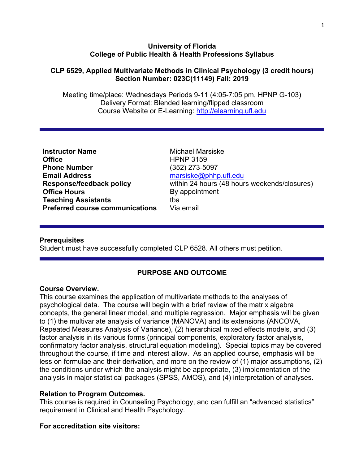### **University of Florida College of Public Health & Health Professions Syllabus**

### **CLP 6529, Applied Multivariate Methods in Clinical Psychology (3 credit hours) Section Number: 023C(11149) Fall: 2019**

Meeting time/place: Wednesdays Periods 9-11 (4:05-7:05 pm, HPNP G-103) Delivery Format: Blended learning/flipped classroom Course Website or E-Learning: [http://elearning.ufl.edu](http://elearning.ufl.edu/)

| <b>Instructor Name</b>                 | <b>Michael Marsiske</b>                      |
|----------------------------------------|----------------------------------------------|
| <b>Office</b>                          | <b>HPNP 3159</b>                             |
| <b>Phone Number</b>                    | (352) 273-5097                               |
| <b>Email Address</b>                   | marsiske@phhp.ufl.edu                        |
| <b>Response/feedback policy</b>        | within 24 hours (48 hours weekends/closures) |
| <b>Office Hours</b>                    | By appointment                               |
| <b>Teaching Assistants</b>             | tba                                          |
| <b>Preferred course communications</b> | Via email                                    |

#### **Prerequisites**

Student must have successfully completed CLP 6528. All others must petition.

### **PURPOSE AND OUTCOME**

#### **Course Overview.**

This course examines the application of multivariate methods to the analyses of psychological data. The course will begin with a brief review of the matrix algebra concepts, the general linear model, and multiple regression. Major emphasis will be given to (1) the multivariate analysis of variance (MANOVA) and its extensions (ANCOVA, Repeated Measures Analysis of Variance), (2) hierarchical mixed effects models, and (3) factor analysis in its various forms (principal components, exploratory factor analysis, confirmatory factor analysis, structural equation modeling). Special topics may be covered throughout the course, if time and interest allow. As an applied course, emphasis will be less on formulae and their derivation, and more on the review of (1) major assumptions, (2) the conditions under which the analysis might be appropriate, (3) implementation of the analysis in major statistical packages (SPSS, AMOS), and (4) interpretation of analyses.

### **Relation to Program Outcomes.**

This course is required in Counseling Psychology, and can fulfill an "advanced statistics" requirement in Clinical and Health Psychology.

### **For accreditation site visitors:**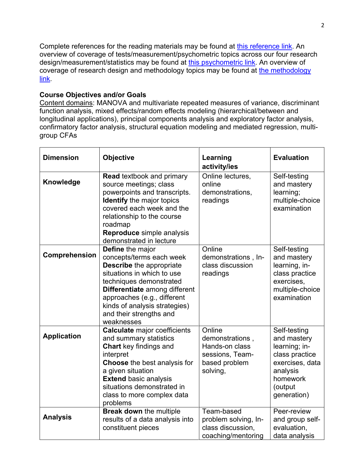Complete references for the reading materials may be found at [this reference link.](http://phhp-marsiske.sites.medinfo.ufl.edu/for-students/classes/references-for-clp-6527652865297525-readings/) An overview of coverage of tests/measurement/psychometric topics across our four research design/measurement/statistics may be found at [this psychometric link.](http://phhp-marsiske.sites.medinfo.ufl.edu/for-students/classes/tests-and-measurement-coverage-in-clp-courses/) An overview of coverage of research design and methodology topics may be found at [the methodology](http://phhp-marsiske.sites.medinfo.ufl.edu/for-students/classes/research-design-and-methods-coverage-in-clp-courses/)  [link.](http://phhp-marsiske.sites.medinfo.ufl.edu/for-students/classes/research-design-and-methods-coverage-in-clp-courses/)

### **Course Objectives and/or Goals**

Content domains: MANOVA and multivariate repeated measures of variance, discriminant function analysis, mixed effects/random effects modeling (hierarchical/between and longitudinal applications), principal components analysis and exploratory factor analysis, confirmatory factor analysis, structural equation modeling and mediated regression, multigroup CFAs

| <b>Dimension</b>   | <b>Objective</b>                                                                                                                                                                                                                                                                | Learning<br>activity/ies                                                                    | <b>Evaluation</b>                                                                                                                   |
|--------------------|---------------------------------------------------------------------------------------------------------------------------------------------------------------------------------------------------------------------------------------------------------------------------------|---------------------------------------------------------------------------------------------|-------------------------------------------------------------------------------------------------------------------------------------|
| Knowledge          | <b>Read textbook and primary</b><br>source meetings; class<br>powerpoints and transcripts.<br><b>Identify</b> the major topics<br>covered each week and the<br>relationship to the course<br>roadmap<br>Reproduce simple analysis<br>demonstrated in lecture                    | Online lectures,<br>online<br>demonstrations,<br>readings                                   | Self-testing<br>and mastery<br>learning;<br>multiple-choice<br>examination                                                          |
| Comprehension      | Define the major<br>concepts/terms each week<br>Describe the appropriate<br>situations in which to use<br>techniques demonstrated<br>Differentiate among different<br>approaches (e.g., different<br>kinds of analysis strategies)<br>and their strengths and<br>weaknesses     | Online<br>demonstrations, In-<br>class discussion<br>readings                               | Self-testing<br>and mastery<br>learning, in-<br>class practice<br>exercises,<br>multiple-choice<br>examination                      |
| <b>Application</b> | <b>Calculate major coefficients</b><br>and summary statistics<br><b>Chart</b> key findings and<br>interpret<br><b>Choose</b> the best analysis for<br>a given situation<br><b>Extend basic analysis</b><br>situations demonstrated in<br>class to more complex data<br>problems | Online<br>demonstrations,<br>Hands-on class<br>sessions, Team-<br>based problem<br>solving, | Self-testing<br>and mastery<br>learning; in-<br>class practice<br>exercises, data<br>analysis<br>homework<br>(output<br>generation) |
| <b>Analysis</b>    | <b>Break down the multiple</b><br>results of a data analysis into<br>constituent pieces                                                                                                                                                                                         | Team-based<br>problem solving, In-<br>class discussion,<br>coaching/mentoring               | Peer-review<br>and group self-<br>evaluation,<br>data analysis                                                                      |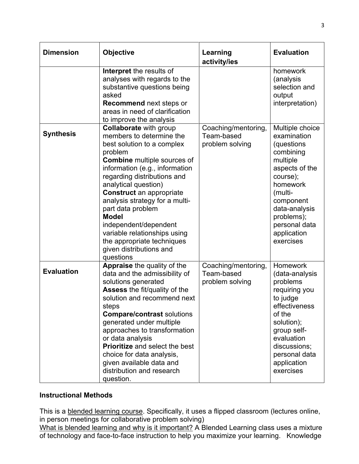| <b>Dimension</b>  | <b>Objective</b>                                                                                                                                                                                                                                                                                                                                                                                                                                                           | Learning<br>activity/ies                             | <b>Evaluation</b>                                                                                                                                                                                                   |
|-------------------|----------------------------------------------------------------------------------------------------------------------------------------------------------------------------------------------------------------------------------------------------------------------------------------------------------------------------------------------------------------------------------------------------------------------------------------------------------------------------|------------------------------------------------------|---------------------------------------------------------------------------------------------------------------------------------------------------------------------------------------------------------------------|
|                   | Interpret the results of<br>analyses with regards to the<br>substantive questions being<br>asked<br><b>Recommend next steps or</b><br>areas in need of clarification<br>to improve the analysis                                                                                                                                                                                                                                                                            |                                                      | homework<br>(analysis<br>selection and<br>output<br>interpretation)                                                                                                                                                 |
| <b>Synthesis</b>  | <b>Collaborate with group</b><br>members to determine the<br>best solution to a complex<br>problem<br><b>Combine</b> multiple sources of<br>information (e.g., information<br>regarding distributions and<br>analytical question)<br><b>Construct</b> an appropriate<br>analysis strategy for a multi-<br>part data problem<br><b>Model</b><br>independent/dependent<br>variable relationships using<br>the appropriate techniques<br>given distributions and<br>questions | Coaching/mentoring,<br>Team-based<br>problem solving | Multiple choice<br>examination<br>(questions<br>combining<br>multiple<br>aspects of the<br>course);<br>homework<br>(multi-<br>component<br>data-analysis<br>problems);<br>personal data<br>application<br>exercises |
| <b>Evaluation</b> | Appraise the quality of the<br>data and the admissibility of<br>solutions generated<br><b>Assess the fit/quality of the</b><br>solution and recommend next<br>steps<br><b>Compare/contrast solutions</b><br>generated under multiple<br>approaches to transformation<br>or data analysis<br>Prioritize and select the best<br>choice for data analysis,<br>given available data and<br>distribution and research<br>question.                                              | Coaching/mentoring,<br>Team-based<br>problem solving | Homework<br>(data-analysis<br>problems<br>requiring you<br>to judge<br>effectiveness<br>of the<br>solution);<br>group self-<br>evaluation<br>discussions;<br>personal data<br>application<br>exercises              |

### **Instructional Methods**

This is a blended learning course. Specifically, it uses a flipped classroom (lectures online, in person meetings for collaborative problem solving)

What is blended learning and why is it important? A Blended Learning class uses a mixture of technology and face-to-face instruction to help you maximize your learning. Knowledge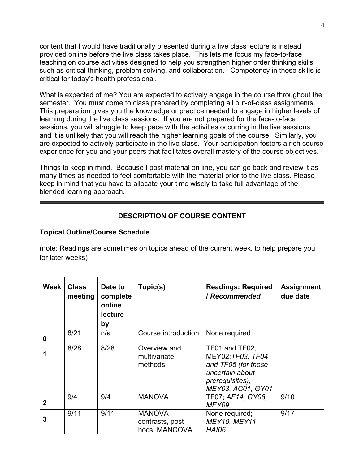content that I would have traditionally presented during a live class lecture is instead provided online before the live class takes place. This lets me focus my face-to-face teaching on course activities designed to help you strengthen higher order thinking skills such as critical thinking, problem solving, and collaboration. Competency in these skills is critical for today's health professional.

What is expected of me? You are expected to actively engage in the course throughout the semester. You must come to class prepared by completing all out-of-class assignments. This preparation gives you the knowledge or practice needed to engage in higher levels of learning during the live class sessions. If you are not prepared for the face-to-face sessions, you will struggle to keep pace with the activities occurring in the live sessions, and it is unlikely that you will reach the higher learning goals of the course. Similarly, you are expected to actively participate in the live class. Your participation fosters a rich course experience for you and your peers that facilitates overall mastery of the course objectives.

Things to keep in mind. Because I post material on line, you can go back and review it as many times as needed to feel comfortable with the material prior to the live class. Please keep in mind that you have to allocate your time wisely to take full advantage of the blended learning approach.

# **DESCRIPTION OF COURSE CONTENT**

### **Topical Outline/Course Schedule**

(note: Readings are sometimes on topics ahead of the current week, to help prepare you for later weeks)

| <b>Week</b>  | <b>Class</b><br>meeting | Date to<br>complete<br>online<br><b>lecture</b><br>by | Topic(s)                                          | <b>Readings: Required</b><br><b>/ Recommended</b>                                                                     | <b>Assignment</b><br>due date |
|--------------|-------------------------|-------------------------------------------------------|---------------------------------------------------|-----------------------------------------------------------------------------------------------------------------------|-------------------------------|
| 0            | 8/21                    | n/a                                                   | Course introduction                               | None required                                                                                                         |                               |
|              | 8/28                    | 8/28                                                  | Overview and<br>multivariate<br>methods           | TF01 and TF02,<br>MEY02; TF03, TF04<br>and TF05 (for those<br>uncertain about<br>prerequisites),<br>MEY03, AC01, GY01 |                               |
| $\mathbf{2}$ | 9/4                     | 9/4                                                   | <b>MANOVA</b>                                     | TF07; AF14, GY08,<br>MEY09                                                                                            | 9/10                          |
| 3            | 9/11                    | 9/11                                                  | <b>MANOVA</b><br>contrasts, post<br>hocs, MANCOVA | None required;<br>MEY10, MEY11,<br><b>HAI06</b>                                                                       | 9/17                          |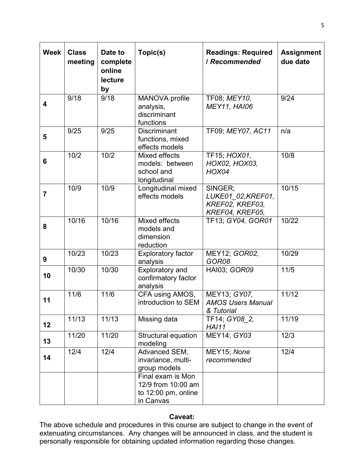| <b>Week</b>             | <b>Class</b><br>meeting | Date to<br>complete<br>online<br>lecture<br>by | Topic(s)                                                                    | <b>Readings: Required</b><br>/ Recommended                          | <b>Assignment</b><br>due date |
|-------------------------|-------------------------|------------------------------------------------|-----------------------------------------------------------------------------|---------------------------------------------------------------------|-------------------------------|
| $\overline{\mathbf{4}}$ | 9/18                    | 9/18                                           | MANOVA profile<br>analysis,<br>discriminant<br>functions                    | TF08; MEY10,<br><b>MEY11, HAI06</b>                                 | 9/24                          |
| 5                       | 9/25                    | 9/25                                           | <b>Discriminant</b><br>functions, mixed<br>effects models                   | TF09; MEY07, AC11                                                   | n/a                           |
| 6                       | 10/2                    | 10/2                                           | Mixed effects<br>models: between<br>school and<br>longitudinal              | TF15; HOX01,<br>HOX02, HOX03,<br>HOX04                              | 10/8                          |
| $\overline{7}$          | 10/9                    | 10/9                                           | Longitudinal mixed<br>effects models                                        | SINGER;<br>LUKE01 02, KREF01,<br>KREF02, KREF03,<br>KREF04, KREF05, | 10/15                         |
| 8                       | 10/16                   | 10/16                                          | Mixed effects<br>models and<br>dimension<br>reduction                       | TF13; GY04, GOR01                                                   | 10/22                         |
| 9                       | 10/23                   | 10/23                                          | <b>Exploratory factor</b><br>analysis                                       | MEY12; GOR02,<br>GOR08                                              | 10/29                         |
| 10                      | 10/30                   | 10/30                                          | <b>Exploratory and</b><br>confirmatory factor<br>analysis                   | HAI03; GOR09                                                        | $11/5$                        |
| 11                      | 11/6                    | 11/6                                           | CFA using AMOS,<br>introduction to SEM                                      | MEY13; GY07,<br><b>AMOS Users Manual</b><br>& Tutorial              | 11/12                         |
| 12                      | 11/13                   | 11/13                                          | Missing data                                                                | TF14; GY08 2,<br><b>HAI11</b>                                       | 11/19                         |
| 13                      | 11/20                   | 11/20                                          | Structural equation<br>modeling                                             | MEY14; GY03                                                         | 12/3                          |
| 14                      | 12/4                    | 12/4                                           | Advanced SEM,<br>invariance, multi-<br>group models                         | MEY15; None<br>recommended                                          | 12/4                          |
|                         |                         |                                                | Final exam is Mon<br>12/9 from 10:00 am<br>to 12:00 pm, online<br>in Canvas |                                                                     |                               |

### **Caveat:**

The above schedule and procedures in this course are subject to change in the event of extenuating circumstances. Any changes will be announced in class, and the student is personally responsible for obtaining updated information regarding those changes.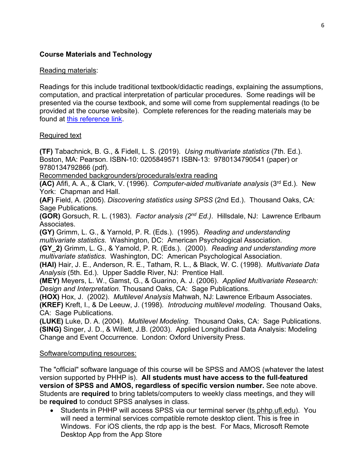# **Course Materials and Technology**

### Reading materials:

Readings for this include traditional textbook/didactic readings, explaining the assumptions, computation, and practical interpretation of particular procedures. Some readings will be presented via the course textbook, and some will come from supplemental readings (to be provided at the course website).Complete references for the reading materials may be found at [this reference link.](http://phhp-marsiske.sites.medinfo.ufl.edu/for-students/classes/references-for-clp-6527652865297525-readings/%20.)

### Required text

**(TF)** Tabachnick, B. G., & Fidell, L. S. (2019). *Using multivariate statistics* (7th. Ed.). Boston, MA: Pearson. ISBN-10: 0205849571 ISBN-13: 9780134790541 (paper) or 9780134792866 (pdf).

Recommended backgrounders/procedurals/extra reading

**(AC)** Afifi, A. A., & Clark, V. (1996). *Computer-aided multivariate analysis* (3rd Ed.). New York: Chapman and Hall.

**(AF)** Field, A. (2005). *Discovering statistics using SPSS* (2nd Ed.). Thousand Oaks, CA: Sage Publications.

**(GOR)** Gorsuch, R. L. (1983). *Factor analysis (2nd Ed.)*. Hillsdale, NJ: Lawrence Erlbaum Associates.

**(GY)** Grimm, L. G., & Yarnold, P. R. (Eds.). (1995). *Reading and understanding multivariate statistics*. Washington, DC: American Psychological Association.

**(GY\_2)** Grimm, L. G., & Yarnold, P. R. (Eds.). (2000). *Reading and understanding more multivariate statistics*. Washington, DC: American Psychological Association.

**(HAI)** Hair, J. E., Anderson, R. E., Tatham, R. L., & Black, W. C. (1998). *Multivariate Data Analysis* (5th. Ed.). Upper Saddle River, NJ: Prentice Hall.

**(MEY)** Meyers, L. W., Gamst, G., & Guarino, A. J. (2006). *Applied Multivariate Research: Design and Interpretation.* Thousand Oaks, CA: Sage Publications.

**(HOX)** Hox, J. (2002). *Multilevel Analysis* Mahwah, NJ: Lawrence Erlbaum Associates. **(KREF)** Kreft, I., & De Leeuw, J. (1998)*. Introducing multilevel modeling.* Thousand Oaks, CA: Sage Publications.

**(LUKE)** Luke, D. A. (2004). *Multilevel Modeling*. Thousand Oaks, CA: Sage Publications. **(SING)** Singer, J. D., & Willett, J.B. (2003). Applied Longitudinal Data Analysis: Modeling Change and Event Occurrence. London: Oxford University Press.

### Software/computing resources:

The "official" software language of this course will be SPSS and AMOS (whatever the latest version supported by PHHP is). **All students must have access to the full-featured version of SPSS and AMOS, regardless of specific version number.** See note above. Students are **required** to bring tablets/computers to weekly class meetings, and they will be **required** to conduct SPSS analyses in class.

• Students in PHHP will access SPSS via our terminal server (ts.phhp.ufl.edu). You will need a terminal services compatible remote desktop client. This is free in Windows. For iOS clients, the rdp app is the best. For Macs, Microsoft Remote Desktop App from the App Store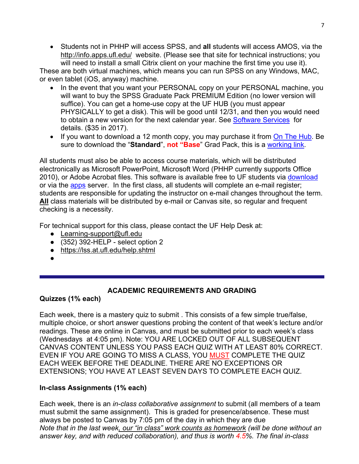• Students not in PHHP will access SPSS, and **all** students will access AMOS, via the http://info.apps.ufl.edu/ website. (Please see that site for technical instructions; you will need to install a small Citrix client on your machine the first time you use it).

These are both virtual machines, which means you can run SPSS on any Windows, MAC, or even tablet (iOS, anyway) machine.

- In the event that you want your PERSONAL copy on your PERSONAL machine, you will want to buy the SPSS Graduate Pack PREMIUM Edition (no lower version will suffice). You can get a home-use copy at the UF HUB (you must appear PHYSICALLY to get a disk). This will be good until 12/31, and then you would need to obtain a new version for the next calendar year. See [Software Services](http://helpdesk.ufl.edu/software-services/spss/) for details. (\$35 in 2017).
- If you want to download a 12 month copy, you may purchase it from [On The Hub.](http://onthehub.com/) Be sure to download the "**Standard**", **not "Base**" Grad Pack, this is a [working link.](https://estore.onthehub.com/WebStore/OfferingsOfMajorVersionList.aspx?pmv=12c7bd0a-436e-e511-9411-b8ca3a5db7a1&cmi_mnuMain=2ff73789-74c7-e011-ae14-f04da23e67f6&cmi_mnuMain_child=2a1143f0-74c7-e011-ae14-f04da23e67f6&utm_source=SPSSstatistics-productpage-statistics&utm_medium=onthehub-productpage&utm_campaign=SPSS)

All students must also be able to access course materials, which will be distributed electronically as Microsoft PowerPoint, Microsoft Word (PHHP currently supports Office 2010), or Adobe Acrobat files. This software is available free to UF students via [download](http://www.it.ufl.edu/2015/01/free-office-365-downloads-available-to-faculty-and-staff/) or via the [apps](http://apps.ufl.edu/) server. In the first class, all students will complete an e-mail register; students are responsible for updating the instructor on e-mail changes throughout the term. **All** class materials will be distributed by e-mail or Canvas site, so regular and frequent checking is a necessity.

For technical support for this class, please contact the UF Help Desk at:

- Learning-support@ufl.edu
- $\bullet$  (352) 392-HELP select option 2
- <https://lss.at.ufl.edu/help.shtml>
- ●

# **ACADEMIC REQUIREMENTS AND GRADING**

**Quizzes (1% each)**

Each week, there is a mastery quiz to submit . This consists of a few simple true/false, multiple choice, or short answer questions probing the content of that week's lecture and/or readings. These are online in Canvas, and must be submitted prior to each week's class (Wednesdays at 4:05 pm). Note: YOU ARE LOCKED OUT OF ALL SUBSEQUENT CANVAS CONTENT UNLESS YOU PASS EACH QUIZ WITH AT LEAST 80% CORRECT. EVEN IF YOU ARE GOING TO MISS A CLASS, YOU MUST COMPLETE THE QUIZ EACH WEEK BEFORE THE DEADLINE. THERE ARE NO EXCEPTIONS OR EXTENSIONS; YOU HAVE AT LEAST SEVEN DAYS TO COMPLETE EACH QUIZ.

# **In-class Assignments (1% each)**

Each week, there is an *in-class collaborative assignment* to submit (all members of a team must submit the same assignment). This is graded for presence/absence. These must always be posted to Canvas by 7:05 pm of the day in which they are due *Note that in the last week, our "in class" work counts as homework (will be done without an answer key, and with reduced collaboration), and thus is worth 4.5%. The final in-class*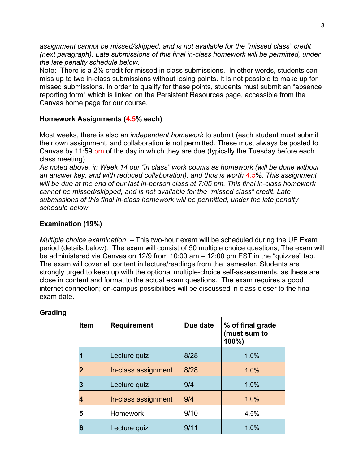*assignment cannot be missed/skipped, and is not available for the "missed class" credit (next paragraph). Late submissions of this final in-class homework will be permitted, under the late penalty schedule below*.

Note: There is a 2% credit for missed in class submissions. In other words, students can miss up to two in-class submissions without losing points. It is not possible to make up for missed submissions. In order to qualify for these points, students must submit an "absence reporting form" which is linked on the Persistent Resources page, accessible from the Canvas home page for our course.

# **Homework Assignments (4.5% each)**

Most weeks, there is also an *independent homework* to submit (each student must submit their own assignment, and collaboration is not permitted. These must always be posted to Canvas by 11:59 pm of the day in which they are due (typically the Tuesday before each class meeting).

*As noted above, in Week 14 our "in class" work counts as homework (will be done without an answer key, and with reduced collaboration), and thus is worth 4.5%. This assignment will be due at the end of our last in-person class at 7:05 pm. This final in-class homework cannot be missed/skipped, and is not available for the "missed class" credit. Late submissions of this final in-class homework will be permitted, under the late penalty schedule below*

# **Examination (19%)**

*Multiple choice examination* – This two-hour exam will be scheduled during the UF Exam period (details below). The exam will consist of 50 multiple choice questions; The exam will be administered via Canvas on 12/9 from 10:00 am – 12:00 pm EST in the "quizzes" tab. The exam will cover all content in lecture/readings from the semester. Students are strongly urged to keep up with the optional multiple-choice self-assessments, as these are close in content and format to the actual exam questions. The exam requires a good internet connection; on-campus possibilities will be discussed in class closer to the final exam date.

# **Grading**

| <b>Item</b>    | <b>Requirement</b>  | Due date | % of final grade<br>(must sum to<br>100%) |
|----------------|---------------------|----------|-------------------------------------------|
| 1              | Lecture quiz        | 8/28     | 1.0%                                      |
| $\overline{2}$ | In-class assignment | 8/28     | 1.0%                                      |
| 3              | Lecture quiz        | 9/4      | 1.0%                                      |
| 4              | In-class assignment | 9/4      | 1.0%                                      |
| 5              | <b>Homework</b>     | 9/10     | 4.5%                                      |
| 6              | Lecture quiz        | 9/11     | 1.0%                                      |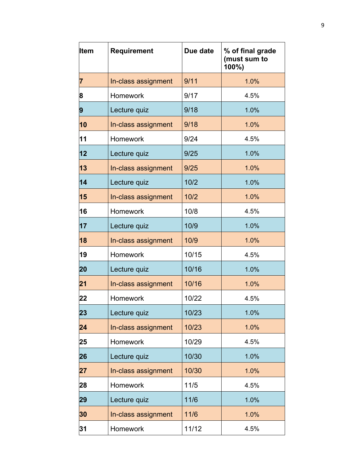| Item | <b>Requirement</b>  | Due date | % of final grade<br>(must sum to<br>100%) |
|------|---------------------|----------|-------------------------------------------|
| 7    | In-class assignment | 9/11     | 1.0%                                      |
| 8    | Homework            | 9/17     | 4.5%                                      |
| 9    | Lecture quiz        | 9/18     | 1.0%                                      |
| 10   | In-class assignment | 9/18     | 1.0%                                      |
| 11   | Homework            | 9/24     | 4.5%                                      |
| 12   | Lecture quiz        | 9/25     | 1.0%                                      |
| 13   | In-class assignment | 9/25     | 1.0%                                      |
| 14   | Lecture quiz        | 10/2     | 1.0%                                      |
| 15   | In-class assignment | 10/2     | 1.0%                                      |
| 16   | <b>Homework</b>     | 10/8     | 4.5%                                      |
| 17   | Lecture quiz        | 10/9     | 1.0%                                      |
| 18   | In-class assignment | 10/9     | 1.0%                                      |
| 19   | Homework            | 10/15    | 4.5%                                      |
| 20   | Lecture quiz        | 10/16    | 1.0%                                      |
| 21   | In-class assignment | 10/16    | 1.0%                                      |
| 22   | Homework            | 10/22    | 4.5%                                      |
| 23   | Lecture quiz        | 10/23    | 1.0%                                      |
| 24   | In-class assignment | 10/23    | 1.0%                                      |
| 25   | Homework            | 10/29    | 4.5%                                      |
| 26   | Lecture quiz        | 10/30    | 1.0%                                      |
| 27   | In-class assignment | 10/30    | 1.0%                                      |
| 28   | <b>Homework</b>     | $11/5$   | 4.5%                                      |
| 29   | Lecture quiz        | 11/6     | 1.0%                                      |
| 30   | In-class assignment | 11/6     | 1.0%                                      |
| 31   | Homework            | 11/12    | 4.5%                                      |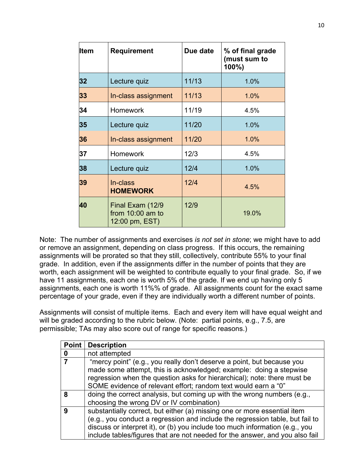| <b>Item</b> | <b>Requirement</b>                                     | Due date | % of final grade<br>(must sum to<br>100%) |
|-------------|--------------------------------------------------------|----------|-------------------------------------------|
| 32          | Lecture quiz                                           | 11/13    | 1.0%                                      |
| 33          | In-class assignment                                    | 11/13    | 1.0%                                      |
| 34          | <b>Homework</b>                                        | 11/19    | 4.5%                                      |
| 35          | Lecture quiz                                           | 11/20    | 1.0%                                      |
| 36          | In-class assignment                                    | 11/20    | 1.0%                                      |
| 37          | <b>Homework</b>                                        | 12/3     | 4.5%                                      |
| 38          | Lecture quiz                                           | 12/4     | 1.0%                                      |
| 39          | In-class<br><b>HOMEWORK</b>                            | 12/4     | 4.5%                                      |
| 40          | Final Exam (12/9<br>from 10:00 am to<br>12:00 pm, EST) | 12/9     | 19.0%                                     |

Note: The number of assignments and exercises *is not set in stone*; we might have to add or remove an assignment, depending on class progress. If this occurs, the remaining assignments will be prorated so that they still, collectively, contribute 55% to your final grade. In addition, even if the assignments differ in the number of points that they are worth, each assignment will be weighted to contribute equally to your final grade. So, if we have 11 assignments, each one is worth 5% of the grade. If we end up having only 5 assignments, each one is worth 11%% of grade. All assignments count for the exact same percentage of your grade, even if they are individually worth a different number of points.

Assignments will consist of multiple items. Each and every item will have equal weight and will be graded according to the rubric below. (Note: partial points, e.g., 7.5, are permissible; TAs may also score out of range for specific reasons.)

| Point | <b>Description</b>                                                                                                                                                                                                                                                                                                        |
|-------|---------------------------------------------------------------------------------------------------------------------------------------------------------------------------------------------------------------------------------------------------------------------------------------------------------------------------|
| 0     | not attempted                                                                                                                                                                                                                                                                                                             |
|       | "mercy point" (e.g., you really don't deserve a point, but because you<br>made some attempt, this is acknowledged; example: doing a stepwise<br>regression when the question asks for hierarchical); note: there must be<br>SOME evidence of relevant effort; random text would earn a "0"                                |
| 8     | doing the correct analysis, but coming up with the wrong numbers (e.g.,<br>choosing the wrong DV or IV combination)                                                                                                                                                                                                       |
| Q     | substantially correct, but either (a) missing one or more essential item<br>(e.g., you conduct a regression and include the regression table, but fail to<br>discuss or interpret it), or (b) you include too much information (e.g., you<br>include tables/figures that are not needed for the answer, and you also fail |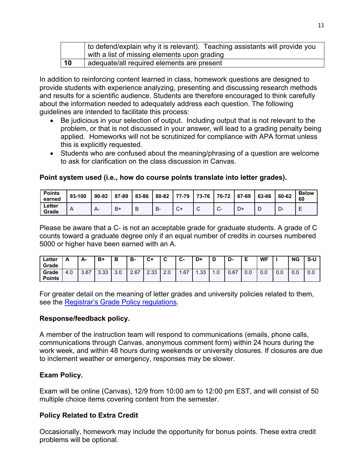|    | to defend/explain why it is relevant). Teaching assistants will provide you |  |  |  |  |  |  |  |  |  |
|----|-----------------------------------------------------------------------------|--|--|--|--|--|--|--|--|--|
|    | with a list of missing elements upon grading                                |  |  |  |  |  |  |  |  |  |
| 10 | adequate/all required elements are present                                  |  |  |  |  |  |  |  |  |  |

In addition to reinforcing content learned in class, homework questions are designed to provide students with experience analyzing, presenting and discussing research methods and results for a scientific audience. Students are therefore encouraged to think carefully about the information needed to adequately address each question. The following guidelines are intended to facilitate this process:

- Be judicious in your selection of output. Including output that is not relevant to the problem, or that is not discussed in your answer, will lead to a grading penalty being applied. Homeworks will not be scrutinized for compliance with APA format unless this is explicitly requested.
- Students who are confused about the meaning/phrasing of a question are welcome to ask for clarification on the class discussion in Canvas.

#### **Point system used (i.e., how do course points translate into letter grades).**

| <b>Points</b><br>earned | 93-100 | 90-92 | 87-89 | 83-86 | 80-82 | 77-79       | 73-76       | 70-72   | 67-69 | 63-66 | 60-62 | <b>Below</b><br>60 |
|-------------------------|--------|-------|-------|-------|-------|-------------|-------------|---------|-------|-------|-------|--------------------|
| Letter<br>Grade         | A      | А-    | $B+$  | B     | В-    | $\sim$<br>◡ | $\sim$<br>◡ | ⌒<br>J- | D+    |       | பு    | -                  |

Please be aware that a C- is not an acceptable grade for graduate students. A grade of C counts toward a graduate degree only if an equal number of credits in courses numbered 5000 or higher have been earned with an A.

| ∟etter<br>Grade        |     | А-   | B+   | Ð<br>D | в-   | C+   |     | ◠<br>ს- | D+  |     | D<br>-ש |     | <b>WF</b> |     | <b>NG</b> | S-U |
|------------------------|-----|------|------|--------|------|------|-----|---------|-----|-----|---------|-----|-----------|-----|-----------|-----|
| Grade<br><b>Points</b> | 4.0 | 3.67 | 3.33 | 3.0    | 2.67 | 2.33 | 2.0 | . 67    | .33 | I.U | 0.67    | 0.0 | 0.0       | 0.0 | 0.0       | 0.0 |

For greater detail on the meaning of letter grades and university policies related to them, see the Registrar's Grade Policy [regulations.](http://catalog.ufl.edu/ugrad/current/regulations/info/grades.aspx)

#### **Response/feedback policy.**

A member of the instruction team will respond to communications (emails, phone calls, communications through Canvas, anonymous comment form) within 24 hours during the work week, and within 48 hours during weekends or university closures. If closures are due to inclement weather or emergency, responses may be slower.

### **Exam Policy.**

Exam will be online (Canvas), 12/9 from 10:00 am to 12:00 pm EST, and will consist of 50 multiple choice items covering content from the semester.

# **Policy Related to Extra Credit**

Occasionally, homework may include the opportunity for bonus points. These extra credit problems will be optional.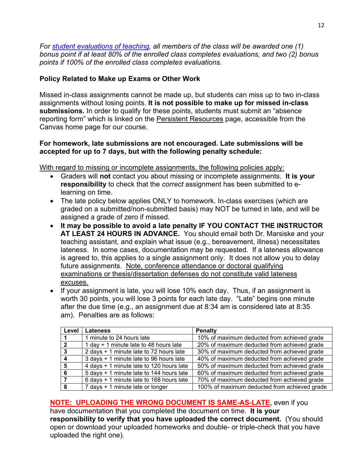*For [student evaluations of teaching,](https://ufl.blueera.com/ufl/) all members of the class will be awarded one (1) bonus point if at least 80% of the enrolled class completes evaluations, and two (2) bonus points if 100% of the enrolled class completes evaluations.*

# **Policy Related to Make up Exams or Other Work**

Missed in-class assignments cannot be made up, but students can miss up to two in-class assignments without losing points. **It is not possible to make up for missed in-class submissions.** In order to qualify for these points, students must submit an "absence reporting form" which is linked on the Persistent Resources page, accessible from the Canvas home page for our course.

### **For homework, late submissions are not encouraged. Late submissions will be accepted for up to 7 days, but with the following penalty schedule:**

With regard to missing or incomplete assignments, the following policies apply:

- Graders will **not** contact you about missing or incomplete assignments. **It is your responsibility** to check that the *correct* assignment has been submitted to elearning on time.
- The late policy below applies ONLY to homework. In-class exercises (which are graded on a submitted/non-submitted basis) may NOT be turned in late, and will be assigned a grade of zero if missed.
- **It may be possible to avoid a late penalty IF YOU CONTACT THE INSTRUCTOR AT LEAST 24 HOURS IN ADVANCE.** You should email both Dr. Marsiske and your teaching assistant, and explain what issue (e.g., bereavement, illness) necessitates lateness. In some cases, documentation may be requested. If a lateness allowance is agreed to, this applies to a single assignment only. It does not allow you to delay future assignments. Note, conference attendance or doctoral qualifying examinations or thesis/dissertation defenses do not constitute valid lateness excuses.
- If your assignment is late, you will lose 10% each day. Thus, if an assignment is worth 30 points, you will lose 3 points for each late day. "Late" begins one minute after the due time (e.g., an assignment due at 8:34 am is considered late at 8:35 am). Penalties are as follows:

| Level        | <b>Lateness</b>                          | <b>Penalty</b>                               |
|--------------|------------------------------------------|----------------------------------------------|
|              | 1 minute to 24 hours late                | 10% of maximum deducted from achieved grade  |
| $\mathbf{2}$ | 1 day + 1 minute late to 48 hours late   | 20% of maximum deducted from achieved grade  |
| 3            | 2 days + 1 minute late to 72 hours late  | 30% of maximum deducted from achieved grade  |
|              | 3 days + 1 minute late to 96 hours late  | 40% of maximum deducted from achieved grade  |
| 5            | 4 days + 1 minute late to 120 hours late | 50% of maximum deducted from achieved grade  |
| 6            | 5 days + 1 minute late to 144 hours late | 60% of maximum deducted from achieved grade  |
|              | 6 days + 1 minute late to 168 hours late | 70% of maximum deducted from achieved grade  |
| 8            | 7 days + 1 minute late or longer         | 100% of maximum deducted from achieved grade |

**NOTE: UPLOADING THE WRONG DOCUMENT IS SAME-AS-LATE**, even if you

have documentation that you completed the document on time. **It is your responsibility to verify that you have uploaded the correct document.** (You should open or download your uploaded homeworks and double- or triple-check that you have uploaded the right one).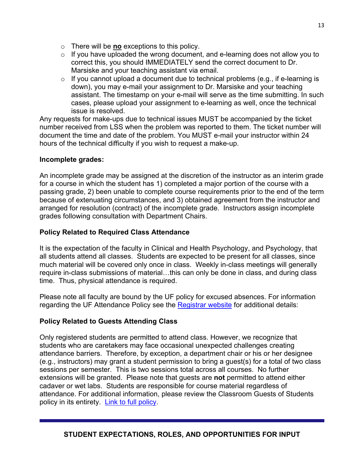- o There will be **no** exceptions to this policy.
- $\circ$  If you have uploaded the wrong document, and e-learning does not allow you to correct this, you should IMMEDIATELY send the correct document to Dr. Marsiske and your teaching assistant via email.
- $\circ$  If you cannot upload a document due to technical problems (e.g., if e-learning is down), you may e-mail your assignment to Dr. Marsiske and your teaching assistant. The timestamp on your e-mail will serve as the time submitting. In such cases, please upload your assignment to e-learning as well, once the technical issue is resolved.

Any requests for make-ups due to technical issues MUST be accompanied by the ticket number received from LSS when the problem was reported to them. The ticket number will document the time and date of the problem. You MUST e-mail your instructor within 24 hours of the technical difficulty if you wish to request a make-up.

# **Incomplete grades:**

An incomplete grade may be assigned at the discretion of the instructor as an interim grade for a course in which the student has 1) completed a major portion of the course with a passing grade, 2) been unable to complete course requirements prior to the end of the term because of extenuating circumstances, and 3) obtained agreement from the instructor and arranged for resolution (contract) of the incomplete grade. Instructors assign incomplete grades following consultation with Department Chairs.

# **Policy Related to Required Class Attendance**

It is the expectation of the faculty in Clinical and Health Psychology, and Psychology, that all students attend all classes. Students are expected to be present for all classes, since much material will be covered only once in class. Weekly in-class meetings will generally require in-class submissions of material…this can only be done in class, and during class time. Thus, physical attendance is required.

Please note all faculty are bound by the UF policy for excused absences. For information regarding the UF Attendance Policy see the [Registrar website](http://www.registrar.ufl.edu/catalogarchive/01-02-catalog/academic_regulations/academic_regulations_013_.htm) for additional details:

# **Policy Related to Guests Attending Class**

Only registered students are permitted to attend class. However, we recognize that students who are caretakers may face occasional unexpected challenges creating attendance barriers. Therefore, by exception, a department chair or his or her designee (e.g., instructors) may grant a student permission to bring a guest(s) for a total of two class sessions per semester. This is two sessions total across all courses. No further extensions will be granted. Please note that guests are **not** permitted to attend either cadaver or wet labs. Students are responsible for course material regardless of attendance. For additional information, please review the Classroom Guests of Students policy in its entirety. [Link to full policy.](http://facstaff.phhp.ufl.edu/services/resourceguide/getstarted.htm)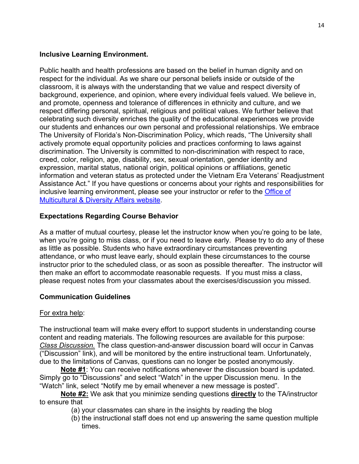### **Inclusive Learning Environment.**

Public health and health professions are based on the belief in human dignity and on respect for the individual. As we share our personal beliefs inside or outside of the classroom, it is always with the understanding that we value and respect diversity of background, experience, and opinion, where every individual feels valued. We believe in, and promote, openness and tolerance of differences in ethnicity and culture, and we respect differing personal, spiritual, religious and political values. We further believe that celebrating such diversity enriches the quality of the educational experiences we provide our students and enhances our own personal and professional relationships. We embrace The University of Florida's Non-Discrimination Policy, which reads, "The University shall actively promote equal opportunity policies and practices conforming to laws against discrimination. The University is committed to non-discrimination with respect to race, creed, color, religion, age, disability, sex, sexual orientation, gender identity and expression, marital status, national origin, political opinions or affiliations, genetic information and veteran status as protected under the Vietnam Era Veterans' Readjustment Assistance Act." If you have questions or concerns about your rights and responsibilities for inclusive learning environment, please see your instructor or refer to the [Office of](http://www.multicultural.ufl.edu/)  [Multicultural & Diversity Affairs website.](http://www.multicultural.ufl.edu/)

# **Expectations Regarding Course Behavior**

As a matter of mutual courtesy, please let the instructor know when you're going to be late, when you're going to miss class, or if you need to leave early. Please try to do any of these as little as possible. Students who have extraordinary circumstances preventing attendance, or who must leave early, should explain these circumstances to the course instructor prior to the scheduled class, or as soon as possible thereafter. The instructor will then make an effort to accommodate reasonable requests. If you must miss a class, please request notes from your classmates about the exercises/discussion you missed.

# **Communication Guidelines**

# For extra help:

The instructional team will make every effort to support students in understanding course content and reading materials. The following resources are available for this purpose: *Class Discussion.* The class question-and-answer discussion board will occur in Canvas ("Discussion" link), and will be monitored by the entire instructional team. Unfortunately, due to the limitations of Canvas, questions can no longer be posted anonymously.

**Note #1**: You can receive notifications whenever the discussion board is updated. Simply go to "Discussions" and select "Watch" in the upper Discussion menu. In the "Watch" link, select "Notify me by email whenever a new message is posted".

**Note #2:** We ask that you minimize sending questions **directly** to the TA/instructor to ensure that

- (a) your classmates can share in the insights by reading the blog
- (b) the instructional staff does not end up answering the same question multiple times.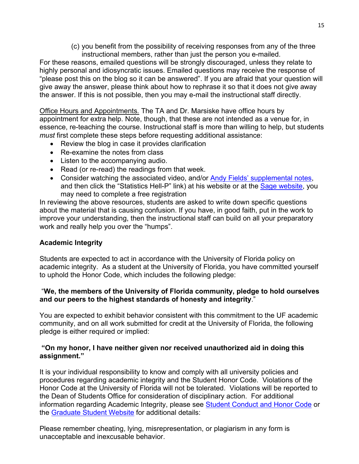(c) you benefit from the possibility of receiving responses from any of the three instructional members, rather than just the person you e-mailed.

For these reasons, emailed questions will be strongly discouraged, unless they relate to highly personal and idiosyncratic issues. Emailed questions may receive the response of "please post this on the blog so it can be answered". If you are afraid that your question will give away the answer, please think about how to rephrase it so that it does not give away the answer. If this is not possible, then you may e-mail the instructional staff directly.

Office Hours and Appointments*.* The TA and Dr. Marsiske have office hours by appointment for extra help. Note, though, that these are not intended as a venue for, in essence, re-teaching the course. Instructional staff is more than willing to help, but students *must* first complete these steps before requesting additional assistance:

- Review the blog in case it provides clarification
- Re-examine the notes from class
- Listen to the accompanying audio.
- Read (or re-read) the readings from that week.
- Consider watching the associated video, and/or [Andy Fields' supplemental notes,](http://www.statisticshell.com/apf.html) and then click the "Statistics Hell-P" link) at his website or at the **Sage website**, you may need to complete a free registration

In reviewing the above resources, students are asked to write down specific questions about the material that is causing confusion. If you have, in good faith, put in the work to improve your understanding, then the instructional staff can build on all your preparatory work and really help you over the "humps".

### **Academic Integrity**

Students are expected to act in accordance with the University of Florida policy on academic integrity. As a student at the University of Florida, you have committed yourself to uphold the Honor Code, which includes the following pledge:

# "**We, the members of the University of Florida community, pledge to hold ourselves and our peers to the highest standards of honesty and integrity**."

You are expected to exhibit behavior consistent with this commitment to the UF academic community, and on all work submitted for credit at the University of Florida, the following pledge is either required or implied:

### **"On my honor, I have neither given nor received unauthorized aid in doing this assignment."**

It is your individual responsibility to know and comply with all university policies and procedures regarding academic integrity and the Student Honor Code. Violations of the Honor Code at the University of Florida will not be tolerated. Violations will be reported to the Dean of Students Office for consideration of disciplinary action. For additional information regarding Academic Integrity, please see Student [Conduct](https://www.dso.ufl.edu/sccr/process/student-conduct-honor-code/) and Honor Code or the [Graduate](http://gradschool.ufl.edu/students/introduction.html) Student Website for additional details:

Please remember cheating, lying, misrepresentation, or plagiarism in any form is unacceptable and inexcusable behavior.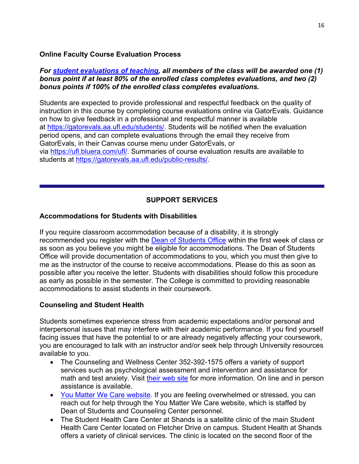### **Online Faculty Course Evaluation Process**

### *For [student evaluations of teaching,](https://ufl.blueera.com/ufl/) all members of the class will be awarded one (1) bonus point if at least 80% of the enrolled class completes evaluations, and two (2) bonus points if 100% of the enrolled class completes evaluations.*

Students are expected to provide professional and respectful feedback on the quality of instruction in this course by completing course evaluations online via GatorEvals. Guidance on how to give feedback in a professional and respectful manner is available at [https://gatorevals.aa.ufl.edu/students/.](https://gatorevals.aa.ufl.edu/students/) Students will be notified when the evaluation period opens, and can complete evaluations through the email they receive from GatorEvals, in their Canvas course menu under GatorEvals, or via [https://ufl.bluera.com/ufl/.](https://urldefense.proofpoint.com/v2/url?u=https-3A__ufl.bluera.com_ufl_&d=DwMFAg&c=sJ6xIWYx-zLMB3EPkvcnVg&r=y2HjEMjRMHJhfdvLrqJZlYczRsfp5e4TfQjHuc5rVHg&m=WXko6OK_Ha6T00ZVAsEaSh99qRXHOgMNFRywCoehRho&s=itVU46DDJjnIg4CW6efJOOLgPjdzsPvCghyfzJoFONs&e=) Summaries of course evaluation results are available to students at [https://gatorevals.aa.ufl.edu/public-results/.](https://gatorevals.aa.ufl.edu/public-results/)

# **SUPPORT SERVICES**

### **Accommodations for Students with Disabilities**

If you require classroom accommodation because of a disability, it is strongly recommended you register with the [Dean of Students Office](http://www.dso.ufl.edu/) within the first week of class or as soon as you believe you might be eligible for accommodations. The Dean of Students Office will provide documentation of accommodations to you, which you must then give to me as the instructor of the course to receive accommodations. Please do this as soon as possible after you receive the letter. Students with disabilities should follow this procedure as early as possible in the semester. The College is committed to providing reasonable accommodations to assist students in their coursework.

### **Counseling and Student Health**

Students sometimes experience stress from academic expectations and/or personal and interpersonal issues that may interfere with their academic performance. If you find yourself facing issues that have the potential to or are already negatively affecting your coursework, you are encouraged to talk with an instructor and/or seek help through University resources available to you.

- The Counseling and Wellness Center 352-392-1575 offers a variety of support services such as psychological assessment and intervention and assistance for math and test anxiety. Visit [their web site](http://www.counseling.ufl.edu/) for more information. On line and in person assistance is available.
- [You Matter We Care website.](http://www.umatter.ufl.edu/) If you are feeling overwhelmed or stressed, you can reach out for help through the You Matter We Care website, which is staffed by Dean of Students and Counseling Center personnel.
- The Student Health Care Center at Shands is a satellite clinic of the main Student Health Care Center located on Fletcher Drive on campus. Student Health at Shands offers a variety of clinical services. The clinic is located on the second floor of the